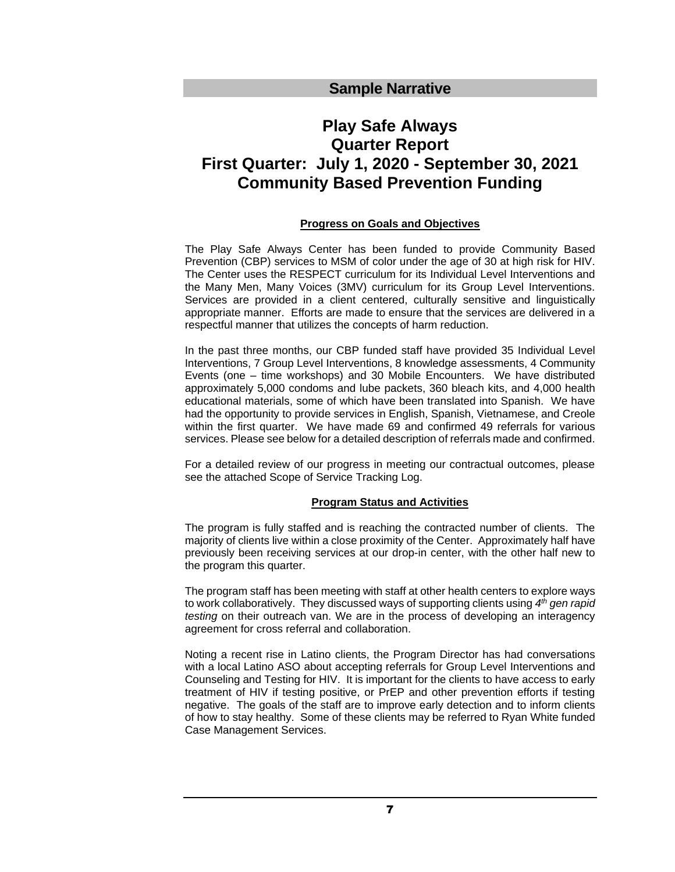# **Play Safe Always Quarter Report First Quarter: July 1, 2020 - September 30, 2021 Community Based Prevention Funding**

# **Progress on Goals and Objectives**

The Play Safe Always Center has been funded to provide Community Based Prevention (CBP) services to MSM of color under the age of 30 at high risk for HIV. The Center uses the RESPECT curriculum for its Individual Level Interventions and the Many Men, Many Voices (3MV) curriculum for its Group Level Interventions. Services are provided in a client centered, culturally sensitive and linguistically appropriate manner. Efforts are made to ensure that the services are delivered in a respectful manner that utilizes the concepts of harm reduction.

In the past three months, our CBP funded staff have provided 35 Individual Level Interventions, 7 Group Level Interventions, 8 knowledge assessments, 4 Community Events (one – time workshops) and 30 Mobile Encounters. We have distributed approximately 5,000 condoms and lube packets, 360 bleach kits, and 4,000 health educational materials, some of which have been translated into Spanish. We have had the opportunity to provide services in English, Spanish, Vietnamese, and Creole within the first quarter. We have made 69 and confirmed 49 referrals for various services. Please see below for a detailed description of referrals made and confirmed.

For a detailed review of our progress in meeting our contractual outcomes, please see the attached Scope of Service Tracking Log.

## **Program Status and Activities**

The program is fully staffed and is reaching the contracted number of clients. The majority of clients live within a close proximity of the Center. Approximately half have previously been receiving services at our drop-in center, with the other half new to the program this quarter.

The program staff has been meeting with staff at other health centers to explore ways to work collaboratively. They discussed ways of supporting clients using *4 th gen rapid testing* on their outreach van. We are in the process of developing an interagency agreement for cross referral and collaboration.

Noting a recent rise in Latino clients, the Program Director has had conversations with a local Latino ASO about accepting referrals for Group Level Interventions and Counseling and Testing for HIV. It is important for the clients to have access to early treatment of HIV if testing positive, or PrEP and other prevention efforts if testing negative. The goals of the staff are to improve early detection and to inform clients of how to stay healthy. Some of these clients may be referred to Ryan White funded Case Management Services.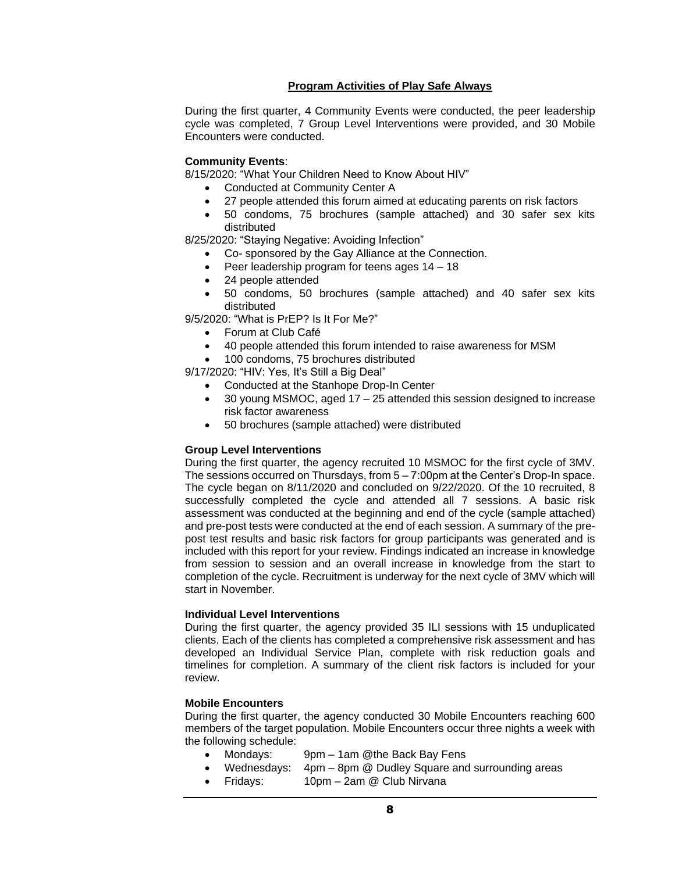# **Program Activities of Play Safe Always**

During the first quarter, 4 Community Events were conducted, the peer leadership cycle was completed, 7 Group Level Interventions were provided, and 30 Mobile Encounters were conducted.

# **Community Events**:

8/15/2020: "What Your Children Need to Know About HIV"

- Conducted at Community Center A
- 27 people attended this forum aimed at educating parents on risk factors
- 50 condoms, 75 brochures (sample attached) and 30 safer sex kits distributed

8/25/2020: "Staying Negative: Avoiding Infection"

- Co- sponsored by the Gay Alliance at the Connection.
- Peer leadership program for teens ages 14 18
- 24 people attended
- 50 condoms, 50 brochures (sample attached) and 40 safer sex kits distributed

9/5/2020: "What is PrEP? Is It For Me?"

- Forum at Club Café
- 40 people attended this forum intended to raise awareness for MSM
- 100 condoms, 75 brochures distributed

9/17/2020: "HIV: Yes, It's Still a Big Deal"

- Conducted at the Stanhope Drop-In Center
- 30 young MSMOC, aged 17 25 attended this session designed to increase risk factor awareness
- 50 brochures (sample attached) were distributed

## **Group Level Interventions**

During the first quarter, the agency recruited 10 MSMOC for the first cycle of 3MV. The sessions occurred on Thursdays, from 5 – 7:00pm at the Center's Drop-In space. The cycle began on 8/11/2020 and concluded on 9/22/2020. Of the 10 recruited, 8 successfully completed the cycle and attended all 7 sessions. A basic risk assessment was conducted at the beginning and end of the cycle (sample attached) and pre-post tests were conducted at the end of each session. A summary of the prepost test results and basic risk factors for group participants was generated and is included with this report for your review. Findings indicated an increase in knowledge from session to session and an overall increase in knowledge from the start to completion of the cycle. Recruitment is underway for the next cycle of 3MV which will start in November.

## **Individual Level Interventions**

During the first quarter, the agency provided 35 ILI sessions with 15 unduplicated clients. Each of the clients has completed a comprehensive risk assessment and has developed an Individual Service Plan, complete with risk reduction goals and timelines for completion. A summary of the client risk factors is included for your review.

## **Mobile Encounters**

During the first quarter, the agency conducted 30 Mobile Encounters reaching 600 members of the target population. Mobile Encounters occur three nights a week with the following schedule:

- Mondays: 9pm 1am @the Back Bay Fens
- Wednesdays: 4pm 8pm @ Dudley Square and surrounding areas
- Fridays: 10pm 2am @ Club Nirvana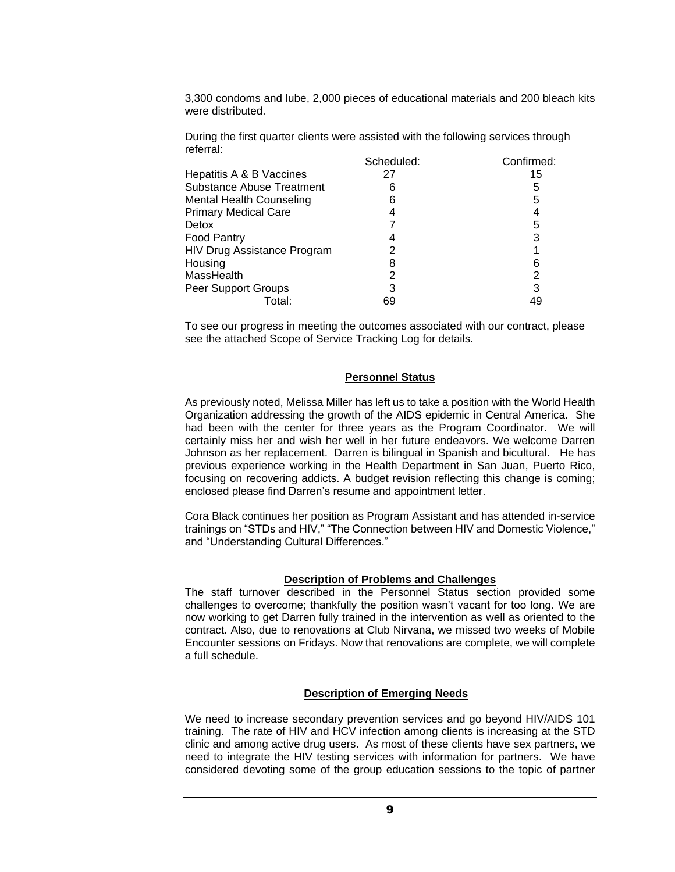3,300 condoms and lube, 2,000 pieces of educational materials and 200 bleach kits were distributed.

During the first quarter clients were assisted with the following services through referral:

|                                  | Scheduled: | Confirmed: |
|----------------------------------|------------|------------|
| Hepatitis A & B Vaccines         | 27         | 15         |
| <b>Substance Abuse Treatment</b> |            | 5          |
| <b>Mental Health Counseling</b>  | 6          | 5          |
| <b>Primary Medical Care</b>      |            |            |
| Detox                            |            | 5          |
| <b>Food Pantry</b>               |            | 3          |
| HIV Drug Assistance Program      |            |            |
| Housing                          |            | 6          |
| MassHealth                       |            | 2          |
| Peer Support Groups              |            | <u>3</u>   |
| Total:                           | 69         | 49         |

To see our progress in meeting the outcomes associated with our contract, please see the attached Scope of Service Tracking Log for details.

#### **Personnel Status**

As previously noted, Melissa Miller has left us to take a position with the World Health Organization addressing the growth of the AIDS epidemic in Central America. She had been with the center for three years as the Program Coordinator. We will certainly miss her and wish her well in her future endeavors. We welcome Darren Johnson as her replacement. Darren is bilingual in Spanish and bicultural. He has previous experience working in the Health Department in San Juan, Puerto Rico, focusing on recovering addicts. A budget revision reflecting this change is coming; enclosed please find Darren's resume and appointment letter.

Cora Black continues her position as Program Assistant and has attended in-service trainings on "STDs and HIV," "The Connection between HIV and Domestic Violence," and "Understanding Cultural Differences."

#### **Description of Problems and Challenges**

The staff turnover described in the Personnel Status section provided some challenges to overcome; thankfully the position wasn't vacant for too long. We are now working to get Darren fully trained in the intervention as well as oriented to the contract. Also, due to renovations at Club Nirvana, we missed two weeks of Mobile Encounter sessions on Fridays. Now that renovations are complete, we will complete a full schedule.

#### **Description of Emerging Needs**

We need to increase secondary prevention services and go beyond HIV/AIDS 101 training. The rate of HIV and HCV infection among clients is increasing at the STD clinic and among active drug users. As most of these clients have sex partners, we need to integrate the HIV testing services with information for partners. We have considered devoting some of the group education sessions to the topic of partner